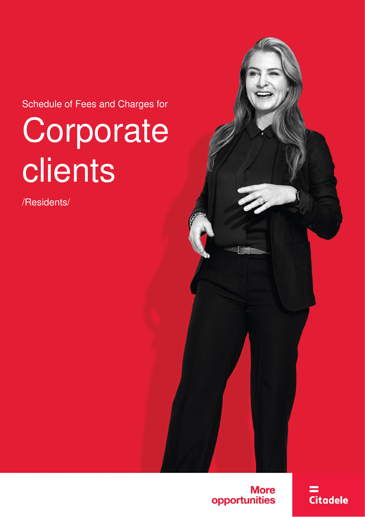Schedule of Fees and Charges for

# **Corporate** clients

/Residents/



**Citadele**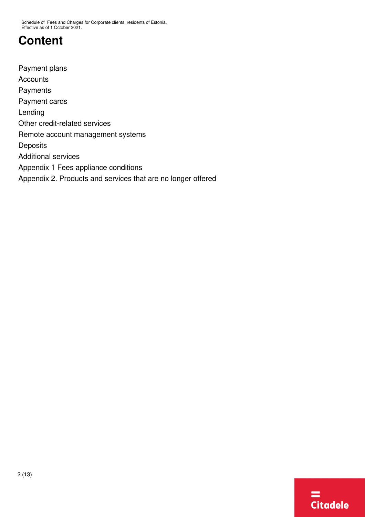## **Content**

[Payment plans](#page-2-0) **[Accounts](#page-2-1)** [Payments](#page-3-0) [Payment cards](#page-4-0) [Lending](#page-4-1) [Other credit-related services](#page-6-0) [Remote account management systems](#page-6-1) **[Deposits](#page-7-0)** [Additional services](#page-7-1) [Appendix 1 Fees appliance conditions](#page-8-0) [Appendix 2. Products and services that are no longer offered](#page-9-0)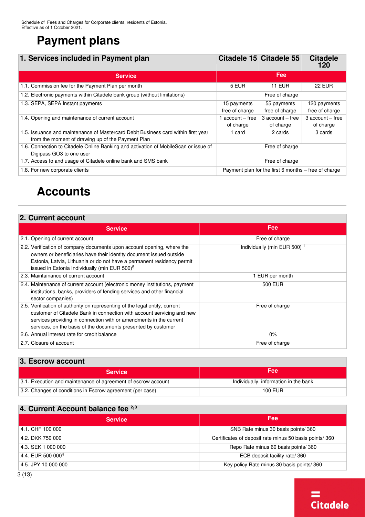## <span id="page-2-0"></span>**Payment plans**

| 1. Services included in Payment plan                                                |                | Citadele 15 Citadele 55 | <b>Citadele</b><br>120 |
|-------------------------------------------------------------------------------------|----------------|-------------------------|------------------------|
| <b>Service</b>                                                                      |                | Fee                     |                        |
| 1.1. Commission fee for the Payment Plan per month                                  | 5 EUR          | <b>11 EUR</b>           | <b>22 EUR</b>          |
| 1.2. Electronic payments within Citadele bank group (without limitations)           |                | Free of charge          |                        |
| 1.3. SEPA, SEPA Instant payments                                                    | 15 payments    | 55 payments             | 120 payments           |
|                                                                                     | free of charge | free of charge          | free of charge         |
| 1.4. Opening and maintenance of current account                                     | account – free | $3$ account $-$ free    | 3 account - free       |
|                                                                                     | of charge      | of charge               | of charge              |
| 1.5. Issuance and maintenance of Mastercard Debit Business card within first year   | 1 card         | 2 cards                 | 3 cards                |
| from the moment of drawing up of the Payment Plan                                   |                |                         |                        |
| 1.6. Connection to Citadele Online Banking and activation of MobileScan or issue of |                | Free of charge          |                        |
| Digipass GO3 to one user                                                            |                |                         |                        |
| 1.7. Access to and usage of Citadele online bank and SMS bank                       |                | Free of charge          |                        |

1.8. For new corporate clients **Payment plan for the first 6 months – free of charge** 

## <span id="page-2-1"></span>**Accounts**

#### **2. Current account**

<span id="page-2-6"></span>

| <b>Service</b>                                                                                                                                                                                                                                                                               | <b>Fee</b>                              |  |
|----------------------------------------------------------------------------------------------------------------------------------------------------------------------------------------------------------------------------------------------------------------------------------------------|-----------------------------------------|--|
| 2.1. Opening of current account                                                                                                                                                                                                                                                              | Free of charge                          |  |
| 2.2. Verification of company documents upon account opening, where the<br>owners or beneficiaries have their identity document issued outside<br>Estonia, Latvia, Lithuania or do not have a permanent residency permit<br>issued in Estonia Individually (min EUR 500) <sup>5</sup>         | Individually (min EUR 500) <sup>1</sup> |  |
| 2.3. Maintainance of current account                                                                                                                                                                                                                                                         | 1 EUR per month                         |  |
| 2.4. Maintenance of current account (electronic money institutions, payment<br>institutions, banks, providers of lending services and other financial<br>sector companies)                                                                                                                   | 500 EUR                                 |  |
| 2.5. Verification of authority on representing of the legal entity, current<br>customer of Citadele Bank in connection with account servicing and new<br>services providing in connection with or amendments in the current<br>services, on the basis of the documents presented by customer | Free of charge                          |  |
| 2.6. Annual interest rate for credit balance                                                                                                                                                                                                                                                 | $0\%$                                   |  |
| 2.7. Closure of account                                                                                                                                                                                                                                                                      | Free of charge                          |  |

#### **3. Escrow account**

| <b>Service</b>                                                | <b>Fee</b>                            |
|---------------------------------------------------------------|---------------------------------------|
| 3.1. Execution and maintenance of agreement of escrow account | Individually, information in the bank |
| 3.2. Changes of conditions in Escrow agreement (per case)     | 100 EUR                               |

#### <span id="page-2-4"></span><span id="page-2-3"></span>**4. Current Account balance fee [2](#page-3-1),[3](#page-3-1)**

<span id="page-2-5"></span>

| <b>Service</b>                | Fee                                                    |
|-------------------------------|--------------------------------------------------------|
| 4.1. CHF 100 000              | SNB Rate minus 30 basis points/360                     |
| 4.2. DKK 750 000              | Certificates of deposit rate minus 50 basis points/360 |
| 14.3. SEK 1 000 000           | Repo Rate minus 60 basis points/360                    |
| 4.4. EUR 500 000 <sup>4</sup> | ECB deposit facility rate/360                          |
| 4.5. JPY 10 000 000           | Key policy Rate minus 30 basis points/360              |

<span id="page-2-2"></span>**Citadele**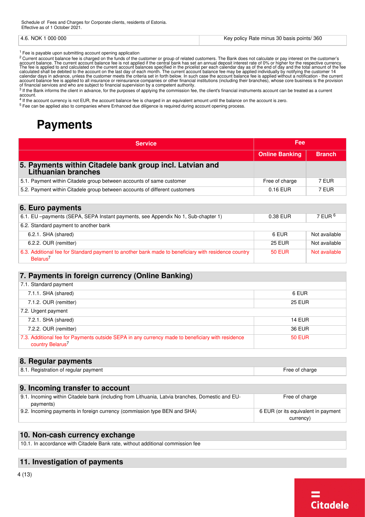| 000 000<br>NOK :<br>4 R | 360<br>/ Rate minus 30 basis points/<br>∠ policy i<br>، د : |
|-------------------------|-------------------------------------------------------------|
|-------------------------|-------------------------------------------------------------|

<span id="page-3-1"></span><sup>1</sup> Fee is payable upon submitting account opening application

<sup>2</sup> Current account balance fee is charged on the funds of the customer or group of related customers. The Bank does not calculate or pay interest on the customer's account balance. The current account balance fee is not applied if the central bank has set an annual deposit interest rate of 0% or higher for the respective currency.<br>The fee is applied to and calculated on the current a of financial services and who are subject to financial supervision by a competent authority.

[3](#page-2-4) If the Bank informs the client in advance, for the purposes of applying the commission fee, the client's financial instruments account can be treated as a current account.

 $4$  If the account currency is not EUR, the account balance fee is charged in an equivalent amount until the balance on the account is zero.

<span id="page-3-0"></span>[5](#page-2-6) Fee can be applied also to companies where Enhanced due diligence is required during account opening process.

## **Payments**

| <b>Service</b>                                                                                                              | Fee                   |               |
|-----------------------------------------------------------------------------------------------------------------------------|-----------------------|---------------|
|                                                                                                                             | <b>Online Banking</b> | <b>Branch</b> |
| 5. Payments within Citadele bank group incl. Latvian and<br><b>Lithuanian branches</b>                                      |                       |               |
| 5.1. Payment within Citadele group between accounts of same customer                                                        | Free of charge        | 7 EUR         |
| 5.2. Payment within Citadele group between accounts of different customers                                                  | 0.16 EUR              | 7 EUR         |
|                                                                                                                             |                       |               |
| 6. Euro payments                                                                                                            |                       |               |
| 6.1. EU -payments (SEPA, SEPA Instant payments, see Appendix No 1, Sub-chapter 1)                                           | 0.38 EUR              | 7 EUR $6$     |
| 6.2. Standard payment to another bank                                                                                       |                       |               |
| 6.2.1. SHA (shared)                                                                                                         | 6 EUR                 | Not available |
| 6.2.2. OUR (remitter)                                                                                                       | <b>25 EUR</b>         | Not available |
| 6.3. Additional fee for Standard payment to another bank made to beneficiary with residence country<br>Belarus <sup>7</sup> | <b>50 EUR</b>         | Not available |
|                                                                                                                             |                       |               |

#### <span id="page-3-3"></span>**7. Payments in foreign currency (Online Banking)**

| 7.1. Standard payment                                                                                                            |               |
|----------------------------------------------------------------------------------------------------------------------------------|---------------|
| 7.1.1. SHA (shared)                                                                                                              | 6 EUR         |
| 7.1.2. OUR (remitter)                                                                                                            | <b>25 EUR</b> |
| 7.2. Urgent payment                                                                                                              |               |
| 7.2.1. SHA (shared)                                                                                                              | <b>14 EUR</b> |
| 7.2.2. OUR (remitter)                                                                                                            | 36 EUR        |
| 7.3. Additional fee for Payments outside SEPA in any currency made to beneficiary with residence<br>country Belarus <sup>7</sup> | <b>50 EUR</b> |

#### **8. Regular payments**

| 0<br>'n of regular payment<br>. Registration<br>ب ہم . | charge<br> |
|--------------------------------------------------------|------------|
|                                                        |            |

#### **9. Incoming transfer to account**

| 9.1. Incoming within Citadele bank (including from Lithuania, Latvia branches, Domestic and EU- | Free of charge                      |
|-------------------------------------------------------------------------------------------------|-------------------------------------|
| payments)                                                                                       |                                     |
| 9.2. Incoming payments in foreign currency (commission type BEN and SHA)                        | 6 EUR (or its equivalent in payment |
|                                                                                                 | currency)                           |

#### **10. Non-cash currency exchange**

10.1. In accordance with Citadele Bank rate, without additional commission fee

#### **11. Investigation of payments**

4 (13)

<span id="page-3-2"></span>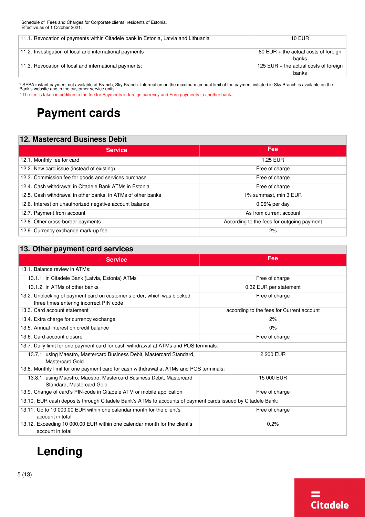| 11.1. Revocation of payments within Citadele bank in Estonia, Latvia and Lithuania | <b>10 EUR</b>                                          |
|------------------------------------------------------------------------------------|--------------------------------------------------------|
| 11.2. Investigation of local and international payments                            | $80$ EUR $+$ the actual costs of foreign<br>banks      |
| 11.3. Revocation of local and international payments:                              | 125 EUR + the actual costs of foreign $\vert$<br>banks |

<span id="page-4-2"></span><sup>6</sup> SEPA instant payment not available at Branch, Sky Branch. Information on the maximum amount limit of the payment initiated in Sky Branch is available on the Bank's website and in the customer service units.

<span id="page-4-0"></span><sup>7</sup> The fee is taken in addition to the fee for Payments in foreign currency and Euro payments to another bank.

## **Payment cards**

#### **12. Mastercard Business Debit**

| <b>Service</b>                                               | <b>Fee</b>                                 |
|--------------------------------------------------------------|--------------------------------------------|
| 12.1. Monthly fee for card                                   | 1.25 EUR                                   |
| 12.2. New card issue (instead of existing)                   | Free of charge                             |
| 12.3. Commission fee for goods and services purchase         | Free of charge                             |
| 12.4. Cash withdrawal in Citadele Bank ATMs in Estonia       | Free of charge                             |
| 12.5. Cash withdrawal in other banks, in ATMs of other banks | 1% summast, min 3 EUR                      |
| 12.6. Interest on unauthorized negative account balance      | $0.06\%$ per day                           |
| 12.7. Payment from account                                   | As from current account                    |
| 12.8. Other cross-border payments                            | According to the fees for outgoing payment |
| 12.9. Currency exchange mark-up fee                          | 2%                                         |

#### **13. Other payment card services**

| <b>Service</b>                                                                                                     | Fee                                       |  |
|--------------------------------------------------------------------------------------------------------------------|-------------------------------------------|--|
| 13.1. Balance review in ATMs:                                                                                      |                                           |  |
| 13.1.1. in Citadele Bank (Latvia, Estonia) ATMs                                                                    | Free of charge                            |  |
| 13.1.2. in ATMs of other banks                                                                                     | 0.32 EUR per statement                    |  |
| 13.2. Unblocking of payment card on customer's order, which was blocked<br>three times entering incorrect PIN code | Free of charge                            |  |
| 13.3. Card account statement                                                                                       | according to the fees for Current account |  |
| 13.4. Extra charge for currency exchange                                                                           | 2%                                        |  |
| 13.5. Annual interest on credit balance                                                                            | 0%                                        |  |
| 13.6. Card account closure                                                                                         | Free of charge                            |  |
| 13.7. Daily limit for one payment card for cash withdrawal at ATMs and POS terminals:                              |                                           |  |
| 13.7.1. using Maestro, Mastercard Business Debit, Mastercard Standard,<br>Mastercard Gold                          | 2 200 EUR                                 |  |
| 13.8. Monthly limit for one payment card for cash withdrawal at ATMs and POS terminals:                            |                                           |  |
| 13.8.1. using Maestro, Maestro, Mastercard Business Debit, Mastercard<br>Standard, Mastercard Gold                 | 15 000 EUR                                |  |
| 13.9. Change of card's PIN-code in Citadele ATM or mobile application                                              | Free of charge                            |  |
| 13.10. EUR cash deposits through Citadele Bank's ATMs to accounts of payment cards issued by Citadele Bank:        |                                           |  |
| 13.11. Up to 10 000,00 EUR within one calendar month for the client's                                              | Free of charge                            |  |
| account in total                                                                                                   |                                           |  |
| 13.12. Exceeding 10 000,00 EUR within one calendar month for the client's<br>account in total                      | 0.2%                                      |  |

## <span id="page-4-1"></span>**Lending**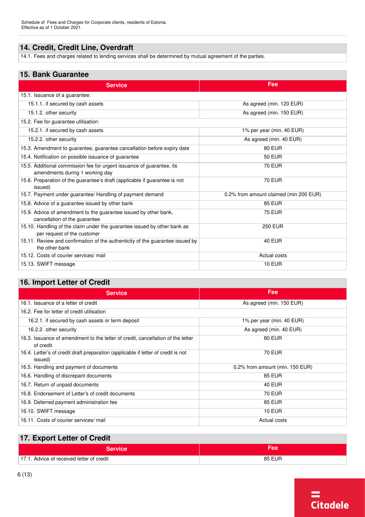#### **14. Credit, Credit Line, Overdraft**

14.1. Fees and charges related to lending services shall be determined by mutual agreement of the parties.

#### **15. Bank Guarantee**

| <b>Service</b>                                                                                           | Fee                                    |
|----------------------------------------------------------------------------------------------------------|----------------------------------------|
| 15.1. Issuance of a guarantee:                                                                           |                                        |
| 15.1.1. if secured by cash assets                                                                        | As agreed (min. 120 EUR)               |
| 15.1.2. other security                                                                                   | As agreed (min. 150 EUR)               |
| 15.2. Fee for quarantee utilisation:                                                                     |                                        |
| 15.2.1. if secured by cash assets                                                                        | 1% per year (min. 40 EUR)              |
| 15.2.2. other security                                                                                   | As agreed (min. 40 EUR)                |
| 15.3. Amendment to guarantee, guarantee cancellation before expiry date                                  | <b>80 EUR</b>                          |
| 15.4. Notification on possible issuance of guarantee                                                     | <b>50 EUR</b>                          |
| 15.5. Additional commission fee for urgent issuance of guarantee, its<br>amendments during 1 working day | <b>70 EUR</b>                          |
| 15.6. Preparation of the guarantee's draft (applicable if guarantee is not<br>issued)                    | <b>70 EUR</b>                          |
| 15.7. Payment under guarantee/ Handling of payment demand                                                | 0.2% from amount claimed (min 200 EUR) |
| 15.8. Advice of a guarantee issued by other bank                                                         | <b>85 EUR</b>                          |
| 15.9. Advice of amendment to the guarantee issued by other bank,<br>cancellation of the guarantee        | <b>75 EUR</b>                          |
| 15.10. Handling of the claim under the guarantee issued by other bank as<br>per request of the customer  | <b>250 EUR</b>                         |
| 15.11. Review and confirmation of the authenticity of the guarantee issued by<br>the other bank          | <b>40 EUR</b>                          |
| 15.12. Costs of courier services/ mail                                                                   | Actual costs                           |
| 15.13. SWIFT message                                                                                     | <b>10 EUR</b>                          |

#### **16. Import Letter of Credit**

| <b>Service</b>                                                                               | Fee                             |  |
|----------------------------------------------------------------------------------------------|---------------------------------|--|
| 16.1. Issuance of a letter of credit                                                         | As agreed (min. 150 EUR)        |  |
| 16.2. Fee for letter of credit utilisation                                                   |                                 |  |
| 16.2.1. if secured by cash assets or term deposit                                            | 1% per year (min. 40 EUR)       |  |
| 16.2.2. other security                                                                       | As agreed (min. 40 EUR)         |  |
| 16.3. Issuance of amendment to the letter of credit, cancellation of the letter<br>of credit | <b>80 EUR</b>                   |  |
| 16.4. Letter's of credit draft preparation (applicable if letter of credit is not<br>issued) | <b>70 EUR</b>                   |  |
| 16.5. Handling and payment of documents                                                      | 0.2% from amount (min. 150 EUR) |  |
| 16.6. Handling of discrepant documents                                                       | <b>85 EUR</b>                   |  |
| 16.7. Return of unpaid documents                                                             | <b>40 EUR</b>                   |  |
| 16.8. Endorsement of Letter's of credit documents                                            | <b>70 EUR</b>                   |  |
| 16.9. Deferred payment administration fee                                                    | <b>85 EUR</b>                   |  |
| 16.10. SWIFT message                                                                         | <b>10 EUR</b>                   |  |
| 16.11. Costs of courier services/ mail                                                       | Actual costs                    |  |

#### **17. Export Letter of Credit**

| .                                         |               |
|-------------------------------------------|---------------|
| <b>Service</b>                            | ∙ee           |
| 17.1. Advice of received letter of credit | <b>85 EUR</b> |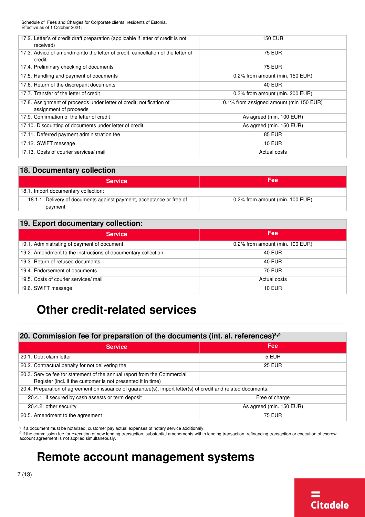| 17.2. Letter's of credit draft preparation (applicable if letter of credit is not<br>received) | <b>150 EUR</b>                          |
|------------------------------------------------------------------------------------------------|-----------------------------------------|
| 17.3. Advice of amendmentto the letter of credit, cancellation of the letter of<br>credit      | <b>75 EUR</b>                           |
| 17.4. Preliminary checking of documents                                                        | <b>75 EUR</b>                           |
| 17.5. Handling and payment of documents                                                        | 0.2% from amount (min. 150 EUR)         |
| 17.6. Return of the discrepant documents                                                       | <b>40 EUR</b>                           |
| 17.7. Transfer of the letter of credit                                                         | 0.3% from amount (min. 200 EUR)         |
| 17.8. Assignment of proceeds under letter of credit, notification of<br>assignment of proceeds | 0.1% from assigned amount (min 150 EUR) |
| 17.9. Confirmation of the letter of credit                                                     | As agreed (min. 100 EUR)                |
| 17.10. Discounting of documents under letter of credit                                         | As agreed (min. 150 EUR)                |
| 17.11. Deferred payment administration fee                                                     | <b>85 EUR</b>                           |
| 17.12. SWIFT message                                                                           | <b>10 EUR</b>                           |
| 17.13. Costs of courier services/ mail                                                         | Actual costs                            |

#### **18. Documentary collection**

| <b>Service</b>                                                                  | Fee                             |
|---------------------------------------------------------------------------------|---------------------------------|
| 18.1. Import documentary collection:                                            |                                 |
| 18.1.1. Delivery of documents against payment, acceptance or free of<br>payment | 0.2% from amount (min. 100 EUR) |

#### **19. Export documentary collection:**

| <b>Service</b>                                                | Fee                             |
|---------------------------------------------------------------|---------------------------------|
| 19.1. Administrating of payment of document                   | 0.2% from amount (min. 100 EUR) |
| 19.2. Amendment to the instructions of documentary collection | <b>40 EUR</b>                   |
| 19.3. Return of refused documents                             | 40 EUR                          |
| 19.4. Endorsement of documents                                | 70 EUR                          |
| 19.5. Costs of courier services/ mail                         | Actual costs                    |
| 19.6. SWIFT message                                           | <b>10 EUR</b>                   |

## <span id="page-6-0"></span>**Other credit-related services**

#### **20. Commission fee for preparation of the documents (int. al. references)[8](#page-6-2),[9](#page-6-2)**

| <b>Service</b>                                                                                                | Fee                      |
|---------------------------------------------------------------------------------------------------------------|--------------------------|
| 20.1. Debt claim letter                                                                                       | 5 EUR                    |
| 20.2. Contractual penalty for not delivering the                                                              | <b>25 EUR</b>            |
| 20.3. Service fee for statement of the annual report from the Commercial                                      |                          |
| Register (incl. if the customer is not presented it in time)                                                  |                          |
| 20.4. Preparation of agreement on issuance of guarantee(s), import letter(s) of credit and related documents: |                          |
| 20.4.1. if secured by cash assests or term deposit                                                            | Free of charge           |
| 20.4.2. other security                                                                                        | As agreed (min. 150 EUR) |
| 20.5. Amendment to the agreement                                                                              | <b>75 EUR</b>            |
|                                                                                                               |                          |

<span id="page-6-2"></span>[8](#page-6-3) If a document must be notarized, customer pay actual expenses of notary service additionaly.

[9](#page-6-4) If the commission fee for execution of new lending transaction, substantial amendments within lending transaction, refinancing transaction or execution of escrow account agreement is not applied simultaneously.

## <span id="page-6-1"></span>**Remote account management systems**

<span id="page-6-4"></span><span id="page-6-3"></span>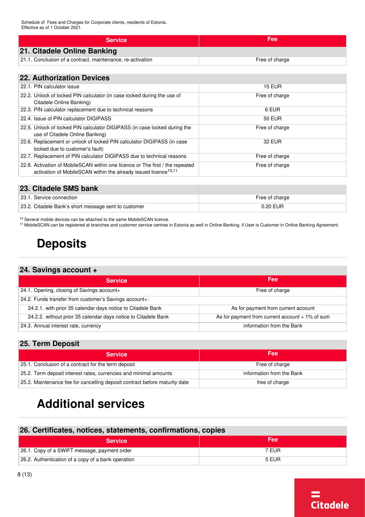| <b>Service</b>                                             | Fee            |
|------------------------------------------------------------|----------------|
| 21. Citadele Online Banking                                |                |
| 21.1. Conclusion of a contract, maintenance, re-activation | Free of charge |

#### **22. Authorization Devices**

| 22.1. PIN calculator issue                                                                                                                                   | <b>15 EUR</b>  |
|--------------------------------------------------------------------------------------------------------------------------------------------------------------|----------------|
| 22.2. Unlock of locked PIN calculator (in case locked during the use of<br>Citadele Online Banking)                                                          | Free of charge |
| 22.3. PIN calculator replacement due to technical reasons                                                                                                    | 6 EUR          |
| 22.4. Issue of PIN calculator DIGIPASS                                                                                                                       | <b>50 EUR</b>  |
| 22.5. Unlock of locked PIN calculator DIGIPASS (in case locked during the<br>use of Citadele Online Banking)                                                 | Free of charge |
| 22.6. Replacement or unlock of locked PIN calculator DIGIPASS (in case<br>locked due to customer's fault)                                                    | 32 EUR         |
| 22.7. Replacement of PIN calculator DIGIPASS due to technical reasons                                                                                        | Free of charge |
| 22.8. Activation of MobileSCAN within one licence or The first / the repeated<br>activation of MobileSCAN within the already issued licence <sup>10,11</sup> | Free of charge |

#### **23. Citadele SMS bank**

| 23.1. Service connection                             | Free of charge |
|------------------------------------------------------|----------------|
| 23.2. Citadele Bank's short message sent to customer | 0.20 EUR       |

<span id="page-7-2"></span><sup>10</sup> Several mobile devices can be attached to the same MobileSCAN licence.

<span id="page-7-0"></span>[11](#page-7-4) MobileSCAN can be registered at branches and customer service centres in Estonia as well in Online Banking, if User is Customer in Online Banking Agreement.

## <span id="page-7-4"></span><span id="page-7-3"></span>**Deposits**

#### **24. Savings account +**

| <b>Service</b>                                                 | Fee                                               |
|----------------------------------------------------------------|---------------------------------------------------|
| 24.1. Opening, closing of Savings account+                     | Free of charge                                    |
| 24.2. Funds transfer from customer's Savings account+:         |                                                   |
| 24.2.1. with prior 35 calendar days notice to Citadele Bank    | As for payment from current account               |
| 24.2.2. without prior 35 calendar days notice to Citadele Bank | As for payment from current account $+1\%$ of sum |
| 24.3. Annual interest rate, currency                           | information from the Bank                         |

#### **25. Term Deposit**

| <b>Service</b>                                                             | <b>Fee</b>                |
|----------------------------------------------------------------------------|---------------------------|
| 25.1. Conclusion of a contract for the term deposit                        | Free of charge            |
| 25.2. Term deposit interest rates, currencies and minimal amounts          | information from the Bank |
| 25.3. Maintenance fee for cancelling deposit contract before maturity date | free of charge            |

## <span id="page-7-1"></span>**Additional services**

#### **26. Certificates, notices, statements, confirmations, copies**

| <b>Service</b>                                     | <b>Fee</b> |
|----------------------------------------------------|------------|
| 26.1. Copy of a SWIFT message, payment order       | 7 EUR      |
| 26.2. Authentication of a copy of a bank operation | 5 EUR      |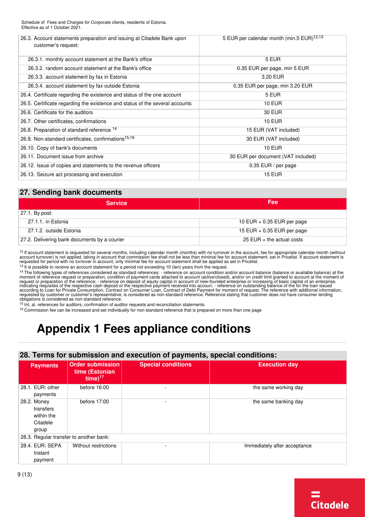<span id="page-8-3"></span><span id="page-8-2"></span>

| 26.3. Account statements preparation and issuing at Citadele Bank upon<br>customer's request: | 5 EUR per calendar month (min.5 EUR) <sup>12,13</sup> |
|-----------------------------------------------------------------------------------------------|-------------------------------------------------------|
| 26.3.1. monthly account statement at the Bank's office                                        | 5 EUR                                                 |
| 26.3.2. random account statement at the Bank's office                                         | 0.35 EUR per page, min 5 EUR                          |
| 26.3.3. account statement by fax in Estonia                                                   | 3.20 EUR                                              |
| 26.3.4. account statement by fax outside Estonia                                              | 0.35 EUR per page, min 3.20 EUR                       |
| 26.4. Certificate regarding the existence and status of the one account                       | 5 EUR                                                 |
| 26.5. Certificate regarding the existence and status of the several accounts                  | <b>10 EUR</b>                                         |
| 26.6. Certificate for the auditors                                                            | <b>30 EUR</b>                                         |
| 26.7. Other certificates, confirmations                                                       | <b>10 EUR</b>                                         |
| 26.8. Preparation of standard reference 14                                                    | 15 EUR (VAT included)                                 |
| 26.9. Non-standard certificates, confirmations <sup>15,16</sup>                               | 30 EUR (VAT included)                                 |
| 26.10. Copy of bank's documents                                                               | <b>10 EUR</b>                                         |
| 26.11. Document issue from archive                                                            | 30 EUR per document (VAT included)                    |
| 26.12. Issue of copies and statements to the revenue officers                                 | 0.35 EUR / per page                                   |
| 26.13. Seizure act processing and execution                                                   | <b>15 EUR</b>                                         |
|                                                                                               |                                                       |

#### <span id="page-8-6"></span><span id="page-8-5"></span><span id="page-8-4"></span>**27. Sending bank documents**

| Fee                          |  |  |  |
|------------------------------|--|--|--|
|                              |  |  |  |
| 10 EUR $+$ 0.35 EUR per page |  |  |  |
| 15 EUR $+$ 0.35 EUR per page |  |  |  |
| 25 EUR $+$ the actual costs  |  |  |  |
|                              |  |  |  |

<span id="page-8-1"></span><sup>12</sup> If account statement is requested for several months, including calendar month (months) with no turnover in the account, fee for appropriate calendar month (without<br>account turnover) is not applied, taking in account

 $13$  It is possible to receive an account statement for a period not exceeding 10 (ten) years from the request.

<sup>14</sup> The following types of references considered as standard references: - reference on account condition and/or account balance (balance or available balance) at the<br>moment of reference request or preparation, condition request or preparation of the reference; - reference on deposit of equity capital in account of new-founded enterprise or increasing of basic capital of an enterprise,<br>indicating requisites of the respective cash deposit o

<sup>15</sup> Int. al. references for auditors, confirmation of auditor requests and reconciliation statements.

<span id="page-8-0"></span><sup>16</sup> Commission fee can be increased and set individually for non-standard reference that is prepared on more than one page

## <span id="page-8-7"></span>**Appendix 1 Fees appliance conditions**

#### **28. Terms for submission and execution of payments, special conditions:**

| <b>Payments</b>                                             | <b>Order submission</b><br>time (Estonian<br>$time)^{17}$ | <b>Special conditions</b> | <b>Execution day</b>         |
|-------------------------------------------------------------|-----------------------------------------------------------|---------------------------|------------------------------|
| 28.1. EUR: other<br>payments                                | before 16:00                                              |                           | the same working day         |
| 28.2. Money<br>transfers<br>within the<br>Citadele<br>group | before 17:00                                              | $\overline{\phantom{a}}$  | the same banking day         |
| 28.3. Regular transfer to another bank:                     |                                                           |                           |                              |
| 28.4. EUR: SEPA<br>Instant<br>payment                       | Without restrictions                                      |                           | Immediately after acceptance |

**Citadele**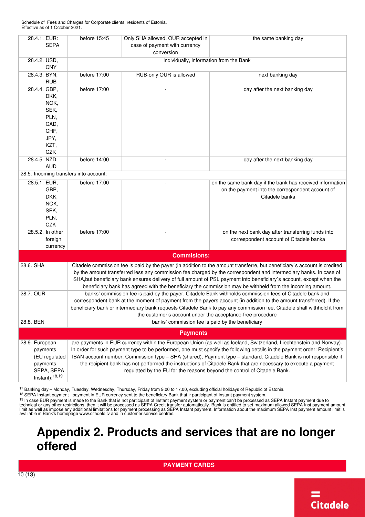| 28.4.1. EUR:                           | before 15:45                                                                                                                                                                               | Only SHA allowed. OUR accepted in | the same banking day                                                                                                      |  |  |  |
|----------------------------------------|--------------------------------------------------------------------------------------------------------------------------------------------------------------------------------------------|-----------------------------------|---------------------------------------------------------------------------------------------------------------------------|--|--|--|
| <b>SEPA</b>                            |                                                                                                                                                                                            | case of payment with currency     |                                                                                                                           |  |  |  |
|                                        |                                                                                                                                                                                            | conversion                        |                                                                                                                           |  |  |  |
| 28.4.2. USD,                           | individually, information from the Bank                                                                                                                                                    |                                   |                                                                                                                           |  |  |  |
| <b>CNY</b>                             |                                                                                                                                                                                            |                                   |                                                                                                                           |  |  |  |
| 28.4.3. BYN,                           | before 17:00                                                                                                                                                                               | RUB-only OUR is allowed           | next banking day                                                                                                          |  |  |  |
| <b>RUB</b>                             |                                                                                                                                                                                            |                                   |                                                                                                                           |  |  |  |
| 28.4.4. GBP,                           | before 17:00                                                                                                                                                                               |                                   | day after the next banking day                                                                                            |  |  |  |
| DKK,                                   |                                                                                                                                                                                            |                                   |                                                                                                                           |  |  |  |
| NOK,                                   |                                                                                                                                                                                            |                                   |                                                                                                                           |  |  |  |
| SEK,                                   |                                                                                                                                                                                            |                                   |                                                                                                                           |  |  |  |
| PLN,                                   |                                                                                                                                                                                            |                                   |                                                                                                                           |  |  |  |
| CAD,                                   |                                                                                                                                                                                            |                                   |                                                                                                                           |  |  |  |
| CHF,                                   |                                                                                                                                                                                            |                                   |                                                                                                                           |  |  |  |
| JPY,                                   |                                                                                                                                                                                            |                                   |                                                                                                                           |  |  |  |
| KZT,                                   |                                                                                                                                                                                            |                                   |                                                                                                                           |  |  |  |
| CZK                                    |                                                                                                                                                                                            |                                   |                                                                                                                           |  |  |  |
| 28.4.5. NZD,                           | before 14:00                                                                                                                                                                               |                                   | day after the next banking day                                                                                            |  |  |  |
| <b>AUD</b>                             |                                                                                                                                                                                            |                                   |                                                                                                                           |  |  |  |
| 28.5. Incoming transfers into account: |                                                                                                                                                                                            |                                   |                                                                                                                           |  |  |  |
| 28.5.1. EUR,                           | before 17:00                                                                                                                                                                               |                                   | on the same bank day if the bank has received information                                                                 |  |  |  |
| GBP,                                   |                                                                                                                                                                                            |                                   | on the payment into the correspondent account of                                                                          |  |  |  |
| DKK,                                   |                                                                                                                                                                                            |                                   | Citadele banka                                                                                                            |  |  |  |
| NOK,                                   |                                                                                                                                                                                            |                                   |                                                                                                                           |  |  |  |
| SEK,                                   |                                                                                                                                                                                            |                                   |                                                                                                                           |  |  |  |
| PLN,                                   |                                                                                                                                                                                            |                                   |                                                                                                                           |  |  |  |
| CZK                                    |                                                                                                                                                                                            |                                   |                                                                                                                           |  |  |  |
| 28.5.2. In other                       | before 17:00                                                                                                                                                                               |                                   | on the next bank day after transferring funds into                                                                        |  |  |  |
| foreign                                |                                                                                                                                                                                            |                                   | correspondent account of Citadele banka                                                                                   |  |  |  |
| currency                               |                                                                                                                                                                                            |                                   |                                                                                                                           |  |  |  |
|                                        |                                                                                                                                                                                            |                                   |                                                                                                                           |  |  |  |
|                                        |                                                                                                                                                                                            | <b>Commisions:</b>                |                                                                                                                           |  |  |  |
| 28.6. SHA                              |                                                                                                                                                                                            |                                   | Citadele commission fee is paid by the payer (in addition to the amount transferre, but beneficiary's account is credited |  |  |  |
|                                        |                                                                                                                                                                                            |                                   | by the amount transferred less any commission fee charged by the correspondent and intermediary banks. In case of         |  |  |  |
|                                        |                                                                                                                                                                                            |                                   | SHA, but beneficiary bank ensures delivery of full amount of PSL payment into beneficiary's account, except when the      |  |  |  |
|                                        | beneficiary bank has agreed with the beneficiary the commission may be withheld from the incoming amount.                                                                                  |                                   |                                                                                                                           |  |  |  |
| 28.7. OUR                              | banks' commission fee is paid by the payer. Citadele Bank withholds commission fees of Citadele bank and                                                                                   |                                   |                                                                                                                           |  |  |  |
|                                        | correspondent bank at the moment of payment from the payers account (in addition to the amount transferred). If the                                                                        |                                   |                                                                                                                           |  |  |  |
|                                        |                                                                                                                                                                                            |                                   | beneficiary bank or intermediary bank requests Citadele Bank to pay any commission fee, Citadele shall withhold it from   |  |  |  |
|                                        | the customer's account under the acceptance-free procedure                                                                                                                                 |                                   |                                                                                                                           |  |  |  |
| 28.8. BEN                              | banks' commission fee is paid by the beneficiary                                                                                                                                           |                                   |                                                                                                                           |  |  |  |
|                                        |                                                                                                                                                                                            | <b>Payments</b>                   |                                                                                                                           |  |  |  |
| 28.9. European                         |                                                                                                                                                                                            |                                   | are payments in EUR currency within the European Union (as well as Iceland, Switzerland, Liechtenstein and Norway).       |  |  |  |
| payments                               |                                                                                                                                                                                            |                                   | In order for such payment type to be performed, one must specify the following details in the payment order: Recipient's  |  |  |  |
|                                        |                                                                                                                                                                                            |                                   | IBAN account number, Commission type - SHA (shared), Payment type - standard. Citadele Bank is not responsible if         |  |  |  |
| (EU regulated                          |                                                                                                                                                                                            |                                   |                                                                                                                           |  |  |  |
| payments,<br>SEPA, SEPA                | the recipient bank has not performed the instructions of Citadele Bank that are necessary to execute a payment<br>regulated by the EU for the reasons beyond the control of Citadele Bank. |                                   |                                                                                                                           |  |  |  |
| Instant): <sup>18,19</sup>             |                                                                                                                                                                                            |                                   |                                                                                                                           |  |  |  |
|                                        |                                                                                                                                                                                            |                                   |                                                                                                                           |  |  |  |

<span id="page-9-3"></span><span id="page-9-2"></span><span id="page-9-1"></span>[17](#page-8-7) Banking day – Monday, Tuesday, Wednesday, Thursday, Friday from 9.00 to 17.00, excluding official holidays of Republic of Estonia.

[18](#page-9-2) SEPA Instant payment - payment in EUR currency sent to the beneficiary Bank that ir participant of Instant payment system.

<sup>19</sup> In case EUR payment is made to the Bank that is not participant of Instant payment system or payment can't be processed as SEPA Instant payment due to<br>technical or any other restrictions, then it will be processed as

## <span id="page-9-0"></span>**Appendix 2. Products and services that are no longer offered**

**PAYMENT CARDS**

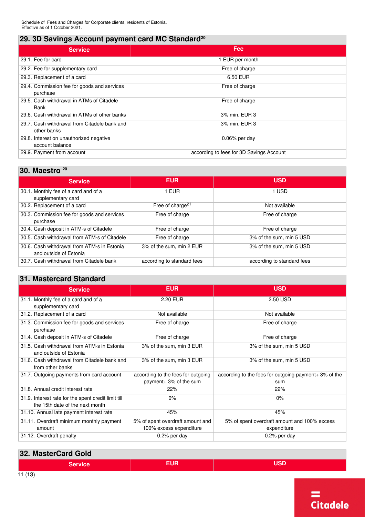### **29. 3D Savings Account payment card MC Standard[20](#page-11-0)**

<span id="page-10-0"></span>

| <b>Service</b>                                              | Fee                                      |
|-------------------------------------------------------------|------------------------------------------|
| 29.1. Fee for card                                          | EUR per month                            |
| 29.2. Fee for supplementary card                            | Free of charge                           |
| 29.3. Replacement of a card                                 | 6.50 EUR                                 |
| 29.4. Commission fee for goods and services<br>purchase     | Free of charge                           |
| 29.5. Cash withdrawal in ATMs of Citadele<br>Bank           | Free of charge                           |
| 29.6. Cash withdrawal in ATMs of other banks                | 3% min. EUR 3                            |
| 29.7. Cash withdrawal from Citadele bank and<br>other banks | 3% min. EUR 3                            |
| 29.8. Interest on unauthorized negative<br>account balance  | $0.06\%$ per day                         |
| 29.9. Payment from account                                  | according to fees for 3D Savings Account |

#### **30. Maestro [20](#page-11-0)**

<span id="page-10-1"></span>

| <b>Service</b>                                                        | <b>EUR</b>                   | <b>USD</b>                 |
|-----------------------------------------------------------------------|------------------------------|----------------------------|
| 30.1. Monthly fee of a card and of a<br>supplementary card            | 1 EUR                        | 1 USD                      |
| 30.2. Replacement of a card                                           | Free of charge <sup>21</sup> | Not available              |
| 30.3. Commission fee for goods and services<br>purchase               | Free of charge               | Free of charge             |
| 30.4. Cash deposit in ATM-s of Citadele                               | Free of charge               | Free of charge             |
| 30.5. Cash withdrawal from ATM-s of Citadele                          | Free of charge               | 3% of the sum, min 5 USD   |
| 30.6. Cash withdrawal from ATM-s in Estonia<br>and outside of Estonia | 3% of the sum, min 2 EUR     | 3% of the sum, min 5 USD   |
| 30.7. Cash withdrawal from Citadele bank                              | according to standard fees   | according to standard fees |

#### **31. Mastercard Standard**

| <b>Service</b>                                                                         | EUR.                               | <b>USD</b>                                            |
|----------------------------------------------------------------------------------------|------------------------------------|-------------------------------------------------------|
| 31.1. Monthly fee of a card and of a                                                   | 2.20 EUR                           | 2.50 USD                                              |
| supplementary card                                                                     |                                    |                                                       |
| 31.2. Replacement of a card                                                            | Not available                      | Not available                                         |
| 31.3. Commission fee for goods and services<br>purchase                                | Free of charge                     | Free of charge                                        |
| 31.4. Cash deposit in ATM-s of Citadele                                                | Free of charge                     | Free of charge                                        |
| 31.5. Cash withdrawal from ATM-s in Estonia<br>and outside of Estonia                  | 3% of the sum, min 3 EUR           | 3% of the sum, min 5 USD                              |
| 31.6. Cash withdrawal from Citadele bank and<br>from other banks                       | 3% of the sum, min 3 EUR           | 3% of the sum, min 5 USD                              |
| 31.7. Outgoing payments from card account                                              | according to the fees for outgoing | according to the fees for outgoing payment+ 3% of the |
|                                                                                        | payment+ 3% of the sum             | sum                                                   |
| 31.8. Annual credit interest rate                                                      | 22%                                | 22%                                                   |
| 31.9. Interest rate for the spent credit limit till<br>the 15th date of the next month | 0%                                 | $0\%$                                                 |
| 31.10. Annual late payment interest rate                                               | 45%                                | 45%                                                   |
| 31.11. Overdraft minimum monthly payment                                               | 5% of spent overdraft amount and   | 5% of spent overdraft amount and 100% excess          |
| amount                                                                                 | 100% excess expenditure            | expenditure                                           |
| 31.12. Overdraft penalty                                                               | 0.2% per day                       | $0.2\%$ per day                                       |

| 32. MasterCard Gold |       |     |
|---------------------|-------|-----|
| Service             | =1 IR | 10n |